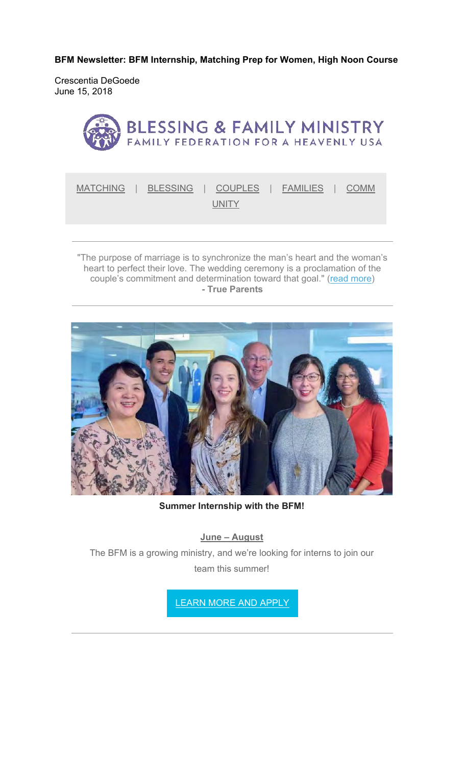**BFM Newsletter: BFM Internship, Matching Prep for Women, High Noon Course** 

Crescentia DeGoede June 15, 2018



**UNITY** 

"The purpose of marriage is to synchronize the man's heart and the woman's heart to perfect their love. The wedding ceremony is a proclamation of the couple's commitment and determination toward that goal." (read more) **- True Parents**



**Summer Internship with the BFM!**

**June – August**

The BFM is a growing ministry, and we're looking for interns to join our team this summer!

LEARN MORE AND APPLY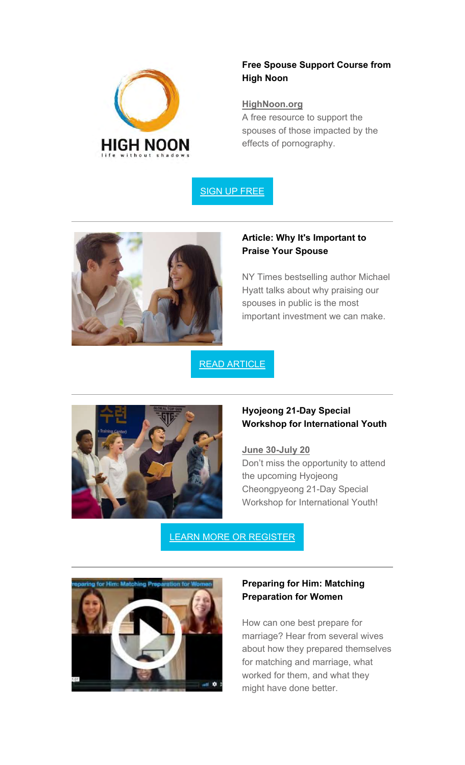

# **Free Spouse Support Course from High Noon**

#### **HighNoon.org**

A free resource to support the spouses of those impacted by the effects of pornography.





### **Article: Why It's Important to Praise Your Spouse**

NY Times bestselling author Michael Hyatt talks about why praising our spouses in public is the most important investment we can make.

READ ARTICLE



## **Hyojeong 21-Day Special Workshop for International Youth**

#### **June 30-July 20**

Don't miss the opportunity to attend the upcoming Hyojeong Cheongpyeong 21-Day Special Workshop for International Youth!

LEARN MORE OR REGISTER



### **Preparing for Him: Matching Preparation for Women**

How can one best prepare for marriage? Hear from several wives about how they prepared themselves for matching and marriage, what worked for them, and what they might have done better.